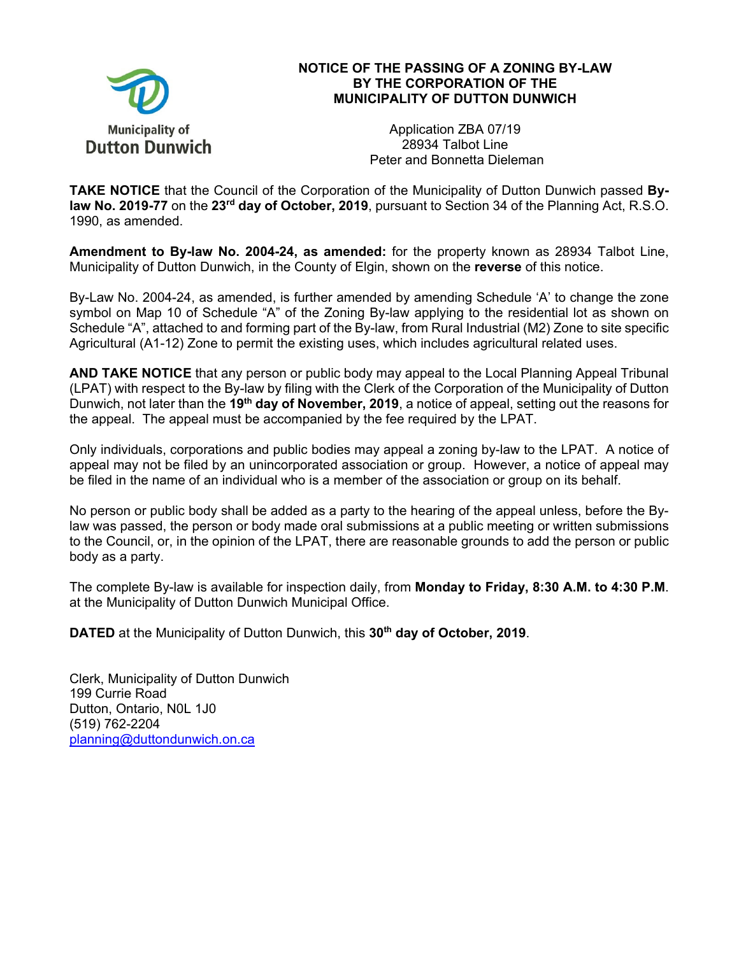

## **NOTICE OF THE PASSING OF A ZONING BY-LAW BY THE CORPORATION OF THE MUNICIPALITY OF DUTTON DUNWICH**

Application ZBA 07/19 28934 Talbot Line Peter and Bonnetta Dieleman

**TAKE NOTICE** that the Council of the Corporation of the Municipality of Dutton Dunwich passed **Bylaw No. 2019-77** on the **23rd day of October, 2019**, pursuant to Section 34 of the Planning Act, R.S.O. 1990, as amended.

**Amendment to By-law No. 2004-24, as amended:** for the property known as 28934 Talbot Line, Municipality of Dutton Dunwich, in the County of Elgin, shown on the **reverse** of this notice.

By-Law No. 2004-24, as amended, is further amended by amending Schedule 'A' to change the zone symbol on Map 10 of Schedule "A" of the Zoning By-law applying to the residential lot as shown on Schedule "A", attached to and forming part of the By-law, from Rural Industrial (M2) Zone to site specific Agricultural (A1-12) Zone to permit the existing uses, which includes agricultural related uses.

**AND TAKE NOTICE** that any person or public body may appeal to the Local Planning Appeal Tribunal (LPAT) with respect to the By-law by filing with the Clerk of the Corporation of the Municipality of Dutton Dunwich, not later than the **19th day of November, 2019**, a notice of appeal, setting out the reasons for the appeal. The appeal must be accompanied by the fee required by the LPAT.

Only individuals, corporations and public bodies may appeal a zoning by-law to the LPAT. A notice of appeal may not be filed by an unincorporated association or group. However, a notice of appeal may be filed in the name of an individual who is a member of the association or group on its behalf.

No person or public body shall be added as a party to the hearing of the appeal unless, before the Bylaw was passed, the person or body made oral submissions at a public meeting or written submissions to the Council, or, in the opinion of the LPAT, there are reasonable grounds to add the person or public body as a party.

The complete By-law is available for inspection daily, from **Monday to Friday, 8:30 A.M. to 4:30 P.M**. at the Municipality of Dutton Dunwich Municipal Office.

**DATED** at the Municipality of Dutton Dunwich, this 30<sup>th</sup> day of October, 2019.

Clerk, Municipality of Dutton Dunwich 199 Currie Road Dutton, Ontario, N0L 1J0 (519) 762-2204 planning@duttondunwich.on.ca